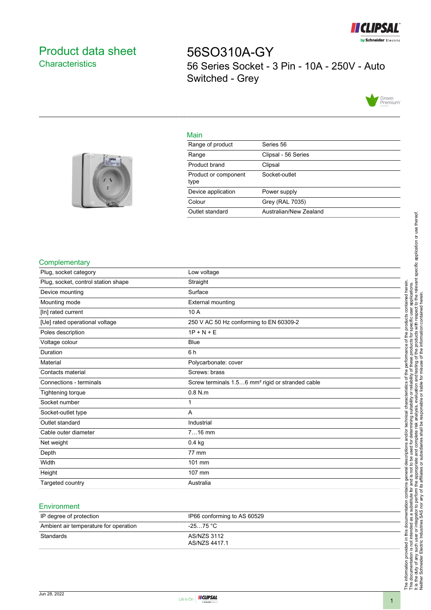

# <span id="page-0-0"></span>Product data sheet **Characteristics**

56SO310A-GY 56 Series Socket - 3 Pin - 10A - 250V - Auto Switched - Grey



### Main

| Range of product             | Series 56              |
|------------------------------|------------------------|
| Range                        | Clipsal - 56 Series    |
| Product brand                | Clipsal                |
| Product or component<br>type | Socket-outlet          |
| Device application           | Power supply           |
| Colour                       | Grey (RAL 7035)        |
| Outlet standard              | Australian/New Zealand |
|                              |                        |



#### **Complementary**

| Plug, socket category               | Low voltage                                                  |
|-------------------------------------|--------------------------------------------------------------|
| Plug, socket, control station shape | Straight                                                     |
| Device mounting                     | Surface                                                      |
| Mounting mode                       | <b>External mounting</b>                                     |
| [In] rated current                  | 10 A                                                         |
| [Ue] rated operational voltage      | 250 V AC 50 Hz conforming to EN 60309-2                      |
| Poles description                   | $1P + N + E$                                                 |
| Voltage colour                      | <b>Blue</b>                                                  |
| Duration                            | 6h                                                           |
| Material                            | Polycarbonate: cover                                         |
| Contacts material                   | Screws: brass                                                |
| Connections - terminals             | Screw terminals 1.56 mm <sup>2</sup> rigid or stranded cable |
| <b>Tightening torque</b>            | $0.8$ N.m                                                    |
| Socket number                       | 1                                                            |
| Socket-outlet type                  | A                                                            |
| Outlet standard                     | Industrial                                                   |
| Cable outer diameter                | $716$ mm                                                     |
| Net weight                          | $0.4$ kg                                                     |
| Depth                               | 77 mm                                                        |
| Width                               | 101 mm                                                       |
| Height                              | 107 mm                                                       |
| Targeted country                    | Australia                                                    |
|                                     |                                                              |

#### **Environment**

| IP degree of protection               | IP66 conforming to AS 60529  |
|---------------------------------------|------------------------------|
| Ambient air temperature for operation | -25…75 °C                    |
| Standards                             | AS/NZS 3112<br>AS/NZS 4417.1 |